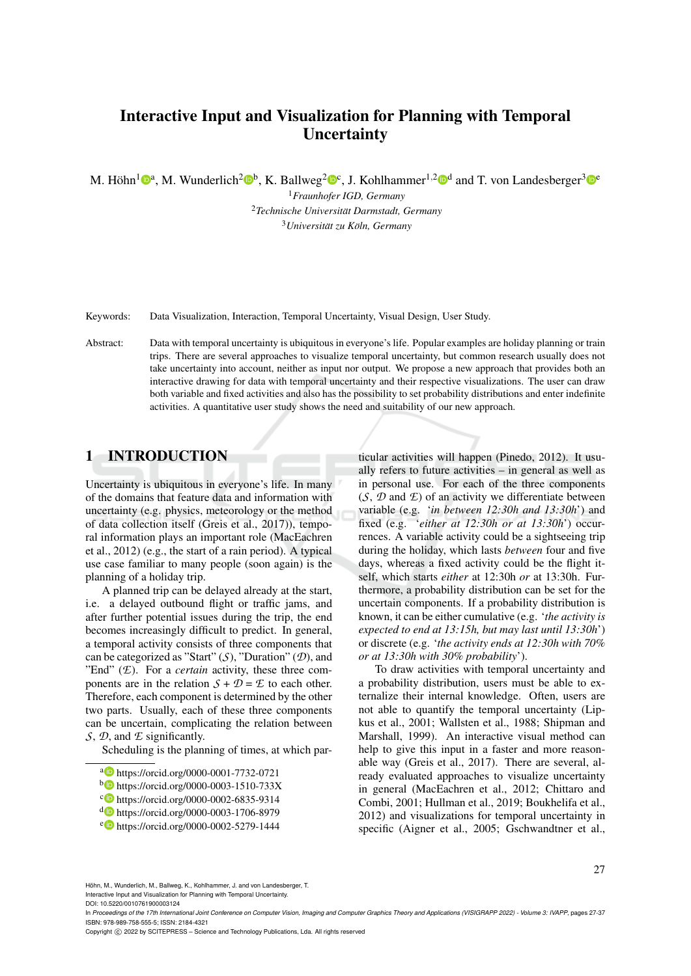# Interactive Input and Visualization for Planning with Temporal **Uncertainty**

M. Höhn<sup>1</sup><sup>®</sup>, M. Wunderlich<sup>2</sup>®<sup>b</sup>, K. Ballweg<sup>2</sup>®<sup>c</sup>, J. Kohlhammer<sup>1,2</sup>®<sup>d</sup> and T. von Landesberger<sup>3</sup>®°

<sup>1</sup>*Fraunhofer IGD, Germany* <sup>2</sup>*Technische Universitat Darmstadt, Germany ¨*  $3$ *Universität zu Köln, Germany* 

Keywords: Data Visualization, Interaction, Temporal Uncertainty, Visual Design, User Study.

Abstract: Data with temporal uncertainty is ubiquitous in everyone's life. Popular examples are holiday planning or train trips. There are several approaches to visualize temporal uncertainty, but common research usually does not take uncertainty into account, neither as input nor output. We propose a new approach that provides both an interactive drawing for data with temporal uncertainty and their respective visualizations. The user can draw both variable and fixed activities and also has the possibility to set probability distributions and enter indefinite activities. A quantitative user study shows the need and suitability of our new approach.

# 1 INTRODUCTION

Uncertainty is ubiquitous in everyone's life. In many of the domains that feature data and information with uncertainty (e.g. physics, meteorology or the method of data collection itself (Greis et al., 2017)), temporal information plays an important role (MacEachren et al., 2012) (e.g., the start of a rain period). A typical use case familiar to many people (soon again) is the planning of a holiday trip.

A planned trip can be delayed already at the start, i.e. a delayed outbound flight or traffic jams, and after further potential issues during the trip, the end becomes increasingly difficult to predict. In general, a temporal activity consists of three components that can be categorized as "Start" (*S*), "Duration" (*D*), and "End" (*E*). For a *certain* activity, these three components are in the relation  $S + D = E$  to each other. Therefore, each component is determined by the other two parts. Usually, each of these three components can be uncertain, complicating the relation between *S*, *D*, and *E* significantly.

Scheduling is the planning of times, at which par-

- a https://orcid.org/0000-0001-7732-0721
- <sup>b</sup> https://orcid.org/0000-0003-1510-733X
- <sup>c</sup> https://orcid.org/0000-0002-6835-9314
- <sup>d</sup> https://orcid.org/0000-0003-1706-8979
- <sup>e</sup> https://orcid.org/0000-0002-5279-1444

ticular activities will happen (Pinedo, 2012). It usually refers to future activities – in general as well as in personal use. For each of the three components (*S*, *D* and *E*) of an activity we differentiate between variable (e.g. '*in between 12:30h and 13:30h*') and fixed (e.g. '*either at 12:30h or at 13:30h*') occurrences. A variable activity could be a sightseeing trip during the holiday, which lasts *between* four and five days, whereas a fixed activity could be the flight itself, which starts *either* at 12:30h *or* at 13:30h. Furthermore, a probability distribution can be set for the uncertain components. If a probability distribution is known, it can be either cumulative (e.g. '*the activity is expected to end at 13:15h, but may last until 13:30h*') or discrete (e.g. '*the activity ends at 12:30h with 70% or at 13:30h with 30% probability*').

To draw activities with temporal uncertainty and a probability distribution, users must be able to externalize their internal knowledge. Often, users are not able to quantify the temporal uncertainty (Lipkus et al., 2001; Wallsten et al., 1988; Shipman and Marshall, 1999). An interactive visual method can help to give this input in a faster and more reasonable way (Greis et al., 2017). There are several, already evaluated approaches to visualize uncertainty in general (MacEachren et al., 2012; Chittaro and Combi, 2001; Hullman et al., 2019; Boukhelifa et al., 2012) and visualizations for temporal uncertainty in specific (Aigner et al., 2005; Gschwandtner et al.,

27

Höhn, M., Wunderlich, M., Ballweg, K., Kohlhammer, J. and von Landesberger, T. Interactive Input and Visualization for Planning with Temporal Uncertainty.

DOI: 10.5220/0010761900003124

In *Proceedings of the 17th International Joint Conference on Computer Vision, Imaging and Computer Graphics Theory and Applications (VISIGRAPP 2022) - Volume 3: IVAPP*, pages 27-37 ISBN: 978-989-758-555-5; ISSN: 2184-4321

Copyright (C) 2022 by SCITEPRESS - Science and Technology Publications, Lda. All rights reserved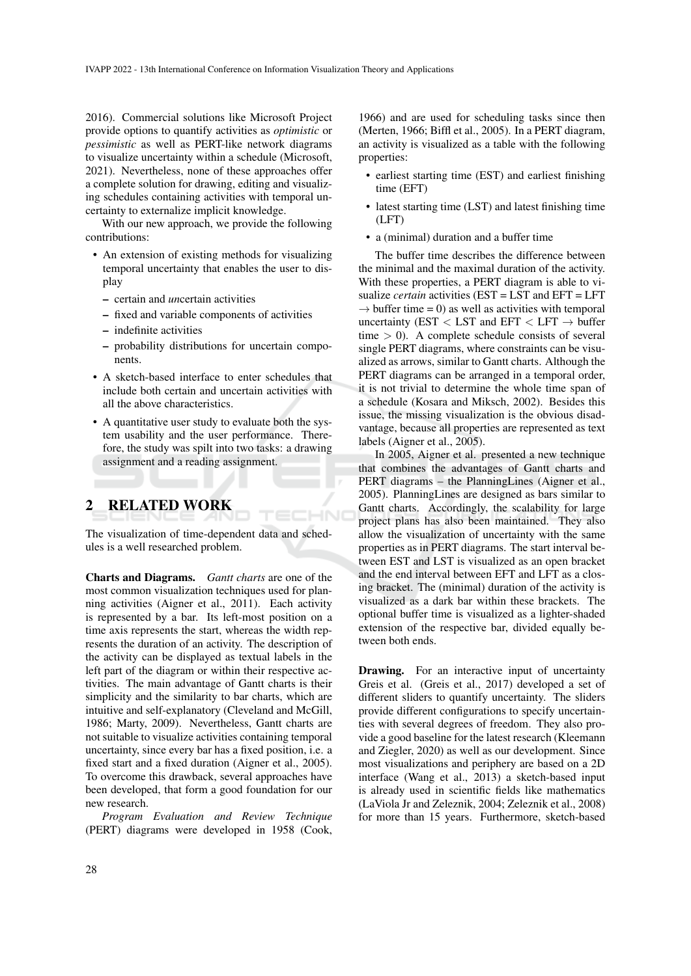2016). Commercial solutions like Microsoft Project provide options to quantify activities as *optimistic* or *pessimistic* as well as PERT-like network diagrams to visualize uncertainty within a schedule (Microsoft, 2021). Nevertheless, none of these approaches offer a complete solution for drawing, editing and visualizing schedules containing activities with temporal uncertainty to externalize implicit knowledge.

With our new approach, we provide the following contributions:

- An extension of existing methods for visualizing temporal uncertainty that enables the user to display
	- certain and *un*certain activities
	- fixed and variable components of activities
	- indefinite activities
	- probability distributions for uncertain components.
- A sketch-based interface to enter schedules that include both certain and uncertain activities with all the above characteristics.
- A quantitative user study to evaluate both the system usability and the user performance. Therefore, the study was spilt into two tasks: a drawing assignment and a reading assignment.

# 2 RELATED WORK

The visualization of time-dependent data and schedules is a well researched problem.

ECHNO

Charts and Diagrams. *Gantt charts* are one of the most common visualization techniques used for planning activities (Aigner et al., 2011). Each activity is represented by a bar. Its left-most position on a time axis represents the start, whereas the width represents the duration of an activity. The description of the activity can be displayed as textual labels in the left part of the diagram or within their respective activities. The main advantage of Gantt charts is their simplicity and the similarity to bar charts, which are intuitive and self-explanatory (Cleveland and McGill, 1986; Marty, 2009). Nevertheless, Gantt charts are not suitable to visualize activities containing temporal uncertainty, since every bar has a fixed position, i.e. a fixed start and a fixed duration (Aigner et al., 2005). To overcome this drawback, several approaches have been developed, that form a good foundation for our new research.

*Program Evaluation and Review Technique* (PERT) diagrams were developed in 1958 (Cook,

1966) and are used for scheduling tasks since then (Merten, 1966; Biffl et al., 2005). In a PERT diagram, an activity is visualized as a table with the following properties:

- earliest starting time (EST) and earliest finishing time (EFT)
- latest starting time (LST) and latest finishing time (LFT)
- a (minimal) duration and a buffer time

The buffer time describes the difference between the minimal and the maximal duration of the activity. With these properties, a PERT diagram is able to visualize *certain* activities (EST = LST and EFT = LFT  $\rightarrow$  buffer time = 0) as well as activities with temporal uncertainty (EST  $\langle$  LST and EFT  $\langle$  LFT  $\rightarrow$  buffer time  $> 0$ ). A complete schedule consists of several single PERT diagrams, where constraints can be visualized as arrows, similar to Gantt charts. Although the PERT diagrams can be arranged in a temporal order, it is not trivial to determine the whole time span of a schedule (Kosara and Miksch, 2002). Besides this issue, the missing visualization is the obvious disadvantage, because all properties are represented as text labels (Aigner et al., 2005).

In 2005, Aigner et al. presented a new technique that combines the advantages of Gantt charts and PERT diagrams – the PlanningLines (Aigner et al., 2005). PlanningLines are designed as bars similar to Gantt charts. Accordingly, the scalability for large project plans has also been maintained. They also allow the visualization of uncertainty with the same properties as in PERT diagrams. The start interval between EST and LST is visualized as an open bracket and the end interval between EFT and LFT as a closing bracket. The (minimal) duration of the activity is visualized as a dark bar within these brackets. The optional buffer time is visualized as a lighter-shaded extension of the respective bar, divided equally between both ends.

**Drawing.** For an interactive input of uncertainty Greis et al. (Greis et al., 2017) developed a set of different sliders to quantify uncertainty. The sliders provide different configurations to specify uncertainties with several degrees of freedom. They also provide a good baseline for the latest research (Kleemann and Ziegler, 2020) as well as our development. Since most visualizations and periphery are based on a 2D interface (Wang et al., 2013) a sketch-based input is already used in scientific fields like mathematics (LaViola Jr and Zeleznik, 2004; Zeleznik et al., 2008) for more than 15 years. Furthermore, sketch-based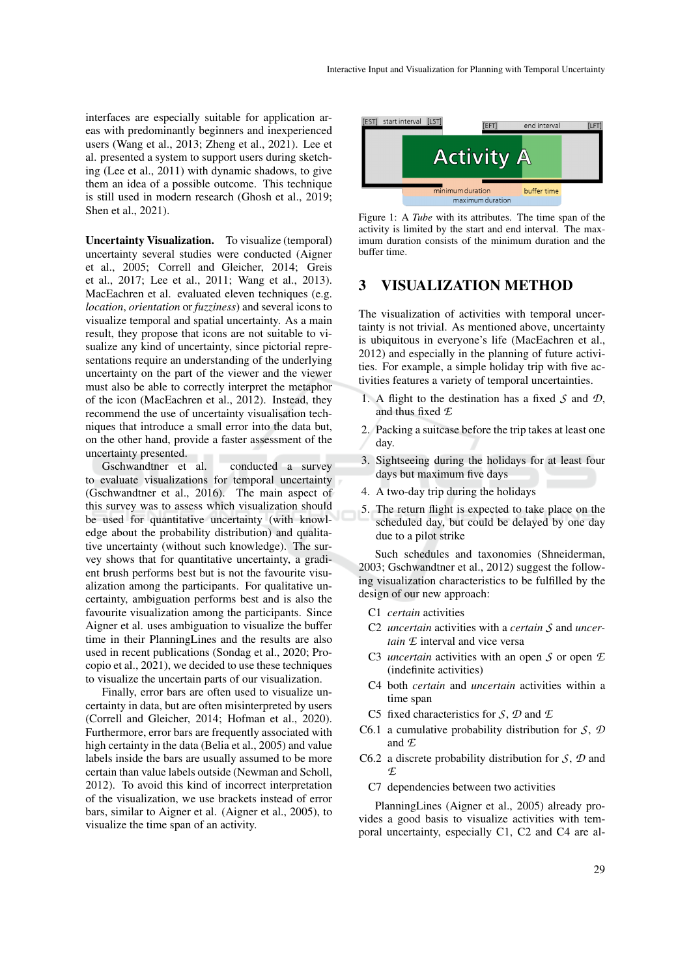interfaces are especially suitable for application areas with predominantly beginners and inexperienced users (Wang et al., 2013; Zheng et al., 2021). Lee et al. presented a system to support users during sketching (Lee et al., 2011) with dynamic shadows, to give them an idea of a possible outcome. This technique is still used in modern research (Ghosh et al., 2019; Shen et al., 2021).

Uncertainty Visualization. To visualize (temporal) uncertainty several studies were conducted (Aigner et al., 2005; Correll and Gleicher, 2014; Greis et al., 2017; Lee et al., 2011; Wang et al., 2013). MacEachren et al. evaluated eleven techniques (e.g. *location*, *orientation* or *fuzziness*) and several icons to visualize temporal and spatial uncertainty. As a main result, they propose that icons are not suitable to visualize any kind of uncertainty, since pictorial representations require an understanding of the underlying uncertainty on the part of the viewer and the viewer must also be able to correctly interpret the metaphor of the icon (MacEachren et al., 2012). Instead, they recommend the use of uncertainty visualisation techniques that introduce a small error into the data but, on the other hand, provide a faster assessment of the uncertainty presented.

Gschwandtner et al. conducted a survey to evaluate visualizations for temporal uncertainty (Gschwandtner et al., 2016). The main aspect of this survey was to assess which visualization should be used for quantitative uncertainty (with knowledge about the probability distribution) and qualitative uncertainty (without such knowledge). The survey shows that for quantitative uncertainty, a gradient brush performs best but is not the favourite visualization among the participants. For qualitative uncertainty, ambiguation performs best and is also the favourite visualization among the participants. Since Aigner et al. uses ambiguation to visualize the buffer time in their PlanningLines and the results are also used in recent publications (Sondag et al., 2020; Procopio et al., 2021), we decided to use these techniques to visualize the uncertain parts of our visualization.

Finally, error bars are often used to visualize uncertainty in data, but are often misinterpreted by users (Correll and Gleicher, 2014; Hofman et al., 2020). Furthermore, error bars are frequently associated with high certainty in the data (Belia et al., 2005) and value labels inside the bars are usually assumed to be more certain than value labels outside (Newman and Scholl, 2012). To avoid this kind of incorrect interpretation of the visualization, we use brackets instead of error bars, similar to Aigner et al. (Aigner et al., 2005), to visualize the time span of an activity.





### 3 VISUALIZATION METHOD

The visualization of activities with temporal uncertainty is not trivial. As mentioned above, uncertainty is ubiquitous in everyone's life (MacEachren et al., 2012) and especially in the planning of future activities. For example, a simple holiday trip with five activities features a variety of temporal uncertainties.

- 1. A flight to the destination has a fixed *S* and *D*, and thus fixed *E*
- 2. Packing a suitcase before the trip takes at least one day.
- 3. Sightseeing during the holidays for at least four days but maximum five days
- 4. A two-day trip during the holidays
- 5. The return flight is expected to take place on the scheduled day, but could be delayed by one day due to a pilot strike

Such schedules and taxonomies (Shneiderman, 2003; Gschwandtner et al., 2012) suggest the following visualization characteristics to be fulfilled by the design of our new approach:

- C1 *certain* activities
- C2 *uncertain* activities with a *certain S* and *uncertain E* interval and vice versa
- C3 *uncertain* activities with an open *S* or open *E* (indefinite activities)
- C4 both *certain* and *uncertain* activities within a time span
- C5 fixed characteristics for *S*, *D* and *E*
- C6.1 a cumulative probability distribution for *S*, *D* and *E*
- C6.2 a discrete probability distribution for *S*, *D* and *E*
	- C7 dependencies between two activities

PlanningLines (Aigner et al., 2005) already provides a good basis to visualize activities with temporal uncertainty, especially C1, C2 and C4 are al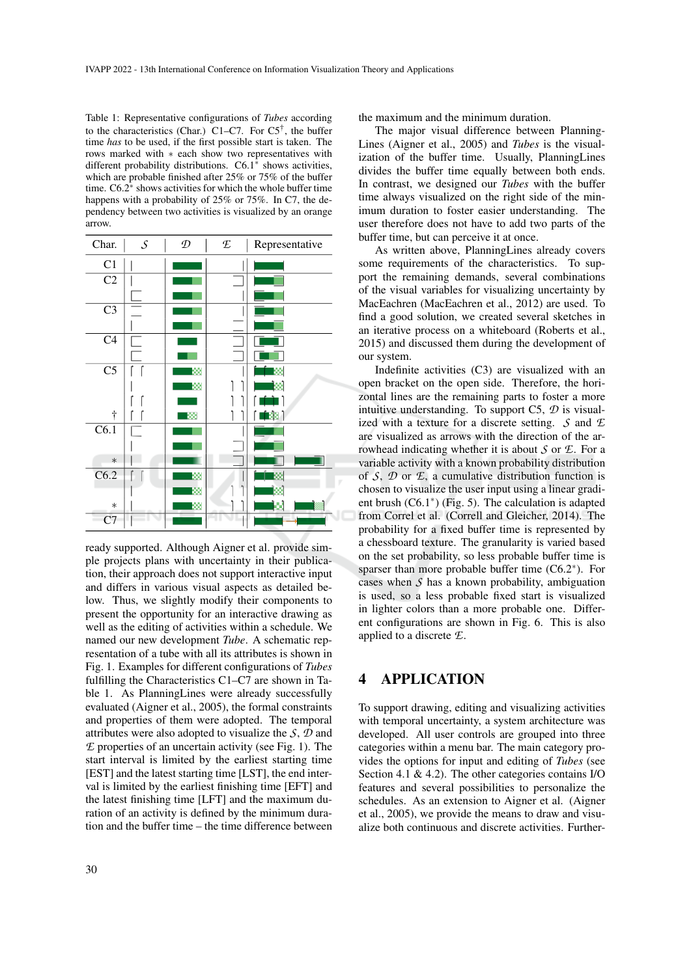Table 1: Representative configurations of *Tubes* according to the characteristics (Char.) C1–C7. For  $C5^{\dagger}$ , the buffer time *has* to be used, if the first possible start is taken. The rows marked with ∗ each show two representatives with different probability distributions. C6.1<sup>∗</sup> shows activities, which are probable finished after 25% or 75% of the buffer time.  $C6.2^*$  shows activities for which the whole buffer time happens with a probability of 25% or 75%. In C7, the dependency between two activities is visualized by an orange arrow.



ready supported. Although Aigner et al. provide simple projects plans with uncertainty in their publication, their approach does not support interactive input and differs in various visual aspects as detailed below. Thus, we slightly modify their components to present the opportunity for an interactive drawing as well as the editing of activities within a schedule. We named our new development *Tube*. A schematic representation of a tube with all its attributes is shown in Fig. 1. Examples for different configurations of *Tubes* fulfilling the Characteristics C1–C7 are shown in Table 1. As PlanningLines were already successfully evaluated (Aigner et al., 2005), the formal constraints and properties of them were adopted. The temporal attributes were also adopted to visualize the *S*, *D* and *E* properties of an uncertain activity (see Fig. 1). The start interval is limited by the earliest starting time [EST] and the latest starting time [LST], the end interval is limited by the earliest finishing time [EFT] and the latest finishing time [LFT] and the maximum duration of an activity is defined by the minimum duration and the buffer time – the time difference between

30

the maximum and the minimum duration.

The major visual difference between Planning-Lines (Aigner et al., 2005) and *Tubes* is the visualization of the buffer time. Usually, PlanningLines divides the buffer time equally between both ends. In contrast, we designed our *Tubes* with the buffer time always visualized on the right side of the minimum duration to foster easier understanding. The user therefore does not have to add two parts of the buffer time, but can perceive it at once.

As written above, PlanningLines already covers some requirements of the characteristics. To support the remaining demands, several combinations of the visual variables for visualizing uncertainty by MacEachren (MacEachren et al., 2012) are used. To find a good solution, we created several sketches in an iterative process on a whiteboard (Roberts et al., 2015) and discussed them during the development of our system.

Indefinite activities (C3) are visualized with an open bracket on the open side. Therefore, the horizontal lines are the remaining parts to foster a more intuitive understanding. To support C5, *D* is visualized with a texture for a discrete setting. *S* and *E* are visualized as arrows with the direction of the arrowhead indicating whether it is about *S* or *E*. For a variable activity with a known probability distribution of *S*, *D* or *E*, a cumulative distribution function is chosen to visualize the user input using a linear gradient brush (C6.1<sup>∗</sup> ) (Fig. 5). The calculation is adapted from Correl et al. (Correll and Gleicher, 2014). The probability for a fixed buffer time is represented by a chessboard texture. The granularity is varied based on the set probability, so less probable buffer time is sparser than more probable buffer time (C6.2<sup>∗</sup> ). For cases when *S* has a known probability, ambiguation is used, so a less probable fixed start is visualized in lighter colors than a more probable one. Different configurations are shown in Fig. 6. This is also applied to a discrete *E*.

## 4 APPLICATION

To support drawing, editing and visualizing activities with temporal uncertainty, a system architecture was developed. All user controls are grouped into three categories within a menu bar. The main category provides the options for input and editing of *Tubes* (see Section 4.1 & 4.2). The other categories contains I/O features and several possibilities to personalize the schedules. As an extension to Aigner et al. (Aigner et al., 2005), we provide the means to draw and visualize both continuous and discrete activities. Further-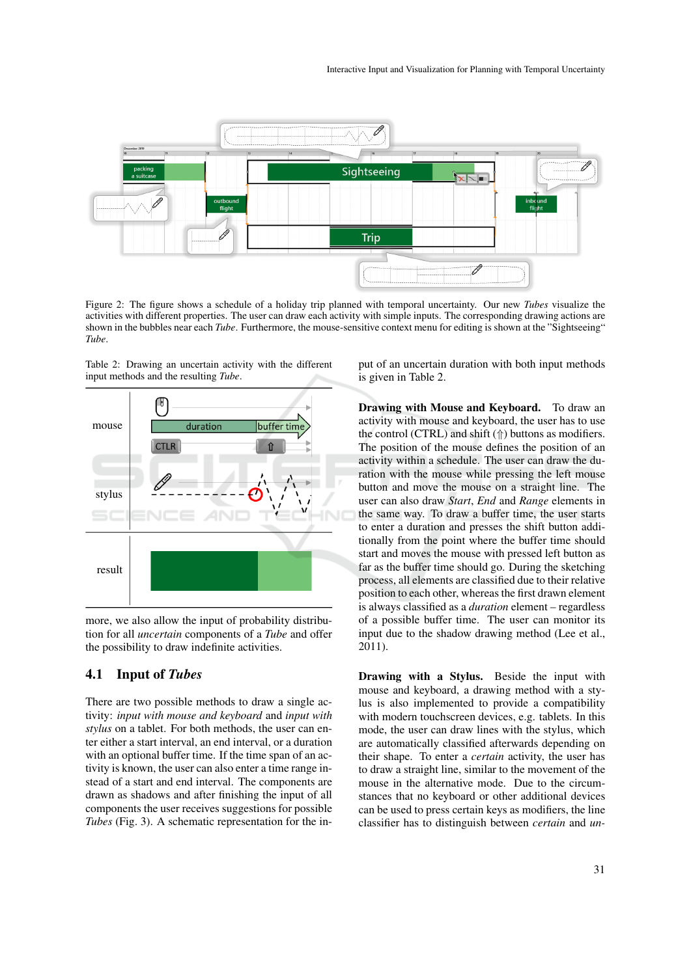

Figure 2: The figure shows a schedule of a holiday trip planned with temporal uncertainty. Our new *Tubes* visualize the activities with different properties. The user can draw each activity with simple inputs. The corresponding drawing actions are shown in the bubbles near each *Tube*. Furthermore, the mouse-sensitive context menu for editing is shown at the "Sightseeing" *Tube*.

Table 2: Drawing an uncertain activity with the different input methods and the resulting *Tube*.



more, we also allow the input of probability distribution for all *uncertain* components of a *Tube* and offer the possibility to draw indefinite activities.

#### 4.1 Input of *Tubes*

There are two possible methods to draw a single activity: *input with mouse and keyboard* and *input with stylus* on a tablet. For both methods, the user can enter either a start interval, an end interval, or a duration with an optional buffer time. If the time span of an activity is known, the user can also enter a time range instead of a start and end interval. The components are drawn as shadows and after finishing the input of all components the user receives suggestions for possible *Tubes* (Fig. 3). A schematic representation for the input of an uncertain duration with both input methods is given in Table 2.

Drawing with Mouse and Keyboard. To draw an activity with mouse and keyboard, the user has to use the control (CTRL) and shift  $(\Uparrow)$  buttons as modifiers. The position of the mouse defines the position of an activity within a schedule. The user can draw the duration with the mouse while pressing the left mouse button and move the mouse on a straight line. The user can also draw *Start*, *End* and *Range* elements in the same way. To draw a buffer time, the user starts to enter a duration and presses the shift button additionally from the point where the buffer time should start and moves the mouse with pressed left button as far as the buffer time should go. During the sketching process, all elements are classified due to their relative position to each other, whereas the first drawn element is always classified as a *duration* element – regardless of a possible buffer time. The user can monitor its input due to the shadow drawing method (Lee et al., 2011).

Drawing with a Stylus. Beside the input with mouse and keyboard, a drawing method with a stylus is also implemented to provide a compatibility with modern touchscreen devices, e.g. tablets. In this mode, the user can draw lines with the stylus, which are automatically classified afterwards depending on their shape. To enter a *certain* activity, the user has to draw a straight line, similar to the movement of the mouse in the alternative mode. Due to the circumstances that no keyboard or other additional devices can be used to press certain keys as modifiers, the line classifier has to distinguish between *certain* and *un-*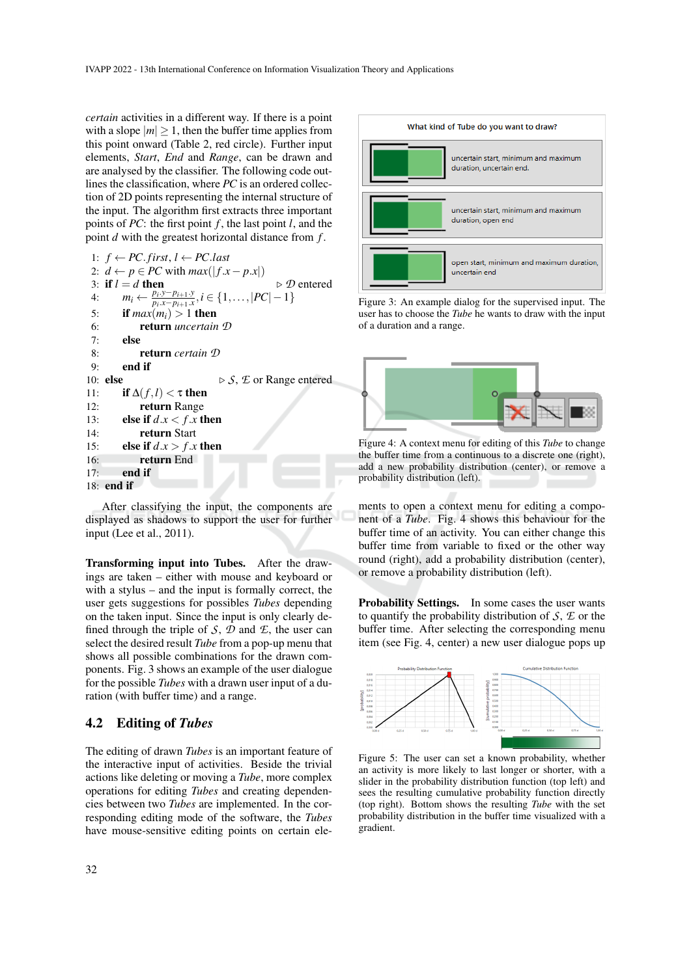*certain* activities in a different way. If there is a point with a slope  $|m| \geq 1$ , then the buffer time applies from this point onward (Table 2, red circle). Further input elements, *Start*, *End* and *Range*, can be drawn and are analysed by the classifier. The following code outlines the classification, where *PC* is an ordered collection of 2D points representing the internal structure of the input. The algorithm first extracts three important points of *PC*: the first point *f* , the last point *l*, and the point *d* with the greatest horizontal distance from *f* .

```
1: f ← PC. first, l ← PC.last
 2: d \leftarrow p \in PC with max(|f.x - p.x|)<br>3: if l = d then
 3: if l = d then \triangleright \mathcal{D} entered
 4: m_i \leftarrow \frac{p_i \cdot y - p_{i+1} \cdot y}{p_i \cdot x - p_{i+1} \cdot x}\frac{p_i \cdot y - p_{i+1} \cdot y}{p_i \cdot x - p_{i+1} \cdot x}, i \in \{1, \ldots, |PC| - 1\}5: if max(m_i) > 1 then
 6: return uncertain D
 7: else
 8: return certain D
 9: end if
10: else \triangleright S, E or Range entered
11: if \Delta(f, l) < \tau then
12: return Range
13: else if d.x < f.x then
14: return Start
15: else if d.x > f.x then
16: return End
17: end if
18: end if
```


After classifying the input, the components are displayed as shadows to support the user for further input (Lee et al., 2011).

Transforming input into Tubes. After the drawings are taken – either with mouse and keyboard or with a stylus – and the input is formally correct, the user gets suggestions for possibles *Tubes* depending on the taken input. Since the input is only clearly defined through the triple of  $S$ ,  $D$  and  $E$ , the user can select the desired result *Tube* from a pop-up menu that shows all possible combinations for the drawn components. Fig. 3 shows an example of the user dialogue for the possible *Tubes* with a drawn user input of a duration (with buffer time) and a range.

#### 4.2 Editing of *Tubes*

The editing of drawn *Tubes* is an important feature of the interactive input of activities. Beside the trivial actions like deleting or moving a *Tube*, more complex operations for editing *Tubes* and creating dependencies between two *Tubes* are implemented. In the corresponding editing mode of the software, the *Tubes* have mouse-sensitive editing points on certain ele-



Figure 3: An example dialog for the supervised input. The user has to choose the *Tube* he wants to draw with the input of a duration and a range.



Figure 4: A context menu for editing of this *Tube* to change the buffer time from a continuous to a discrete one (right), add a new probability distribution (center), or remove a probability distribution (left).

ments to open a context menu for editing a component of a *Tube*. Fig. 4 shows this behaviour for the buffer time of an activity. You can either change this buffer time from variable to fixed or the other way round (right), add a probability distribution (center), or remove a probability distribution (left).

Probability Settings. In some cases the user wants to quantify the probability distribution of *S*, *E* or the buffer time. After selecting the corresponding menu item (see Fig. 4, center) a new user dialogue pops up



Figure 5: The user can set a known probability, whether an activity is more likely to last longer or shorter, with a slider in the probability distribution function (top left) and sees the resulting cumulative probability function directly (top right). Bottom shows the resulting *Tube* with the set probability distribution in the buffer time visualized with a gradient.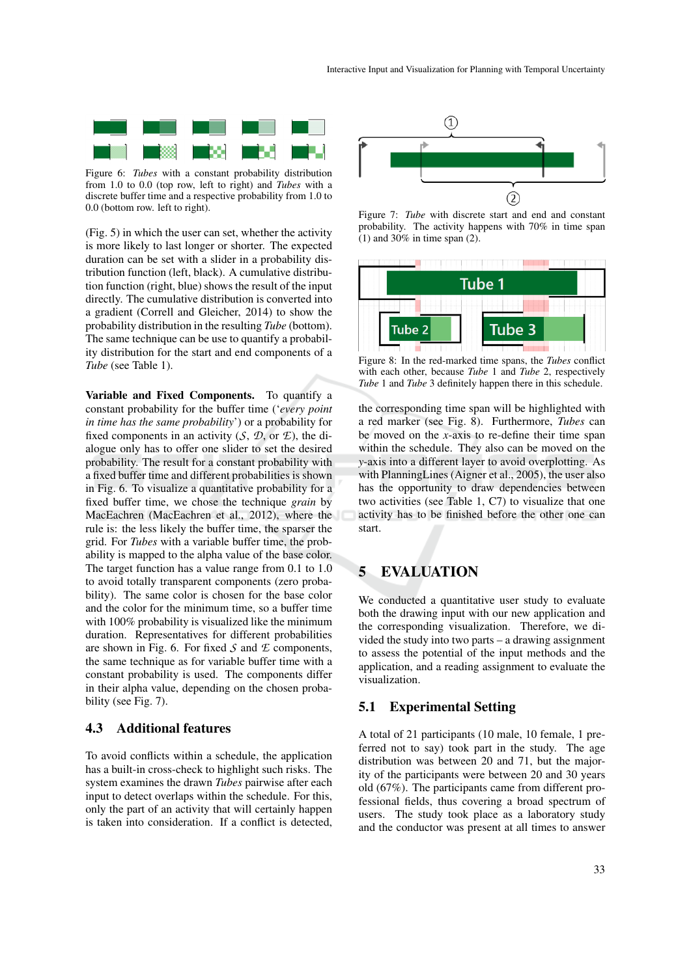

Figure 6: *Tubes* with a constant probability distribution from 1.0 to 0.0 (top row, left to right) and *Tubes* with a discrete buffer time and a respective probability from 1.0 to 0.0 (bottom row. left to right).

(Fig. 5) in which the user can set, whether the activity is more likely to last longer or shorter. The expected duration can be set with a slider in a probability distribution function (left, black). A cumulative distribution function (right, blue) shows the result of the input directly. The cumulative distribution is converted into a gradient (Correll and Gleicher, 2014) to show the probability distribution in the resulting *Tube* (bottom). The same technique can be use to quantify a probability distribution for the start and end components of a *Tube* (see Table 1).

Variable and Fixed Components. To quantify a constant probability for the buffer time ('*every point in time has the same probability*') or a probability for fixed components in an activity  $(S, \mathcal{D}, \text{or } \mathcal{E})$ , the dialogue only has to offer one slider to set the desired probability. The result for a constant probability with a fixed buffer time and different probabilities is shown in Fig. 6. To visualize a quantitative probability for a fixed buffer time, we chose the technique *grain* by MacEachren (MacEachren et al., 2012), where the rule is: the less likely the buffer time, the sparser the grid. For *Tubes* with a variable buffer time, the probability is mapped to the alpha value of the base color. The target function has a value range from 0.1 to 1.0 to avoid totally transparent components (zero probability). The same color is chosen for the base color and the color for the minimum time, so a buffer time with 100% probability is visualized like the minimum duration. Representatives for different probabilities are shown in Fig. 6. For fixed *S* and *E* components, the same technique as for variable buffer time with a constant probability is used. The components differ in their alpha value, depending on the chosen probability (see Fig. 7).

### 4.3 Additional features

To avoid conflicts within a schedule, the application has a built-in cross-check to highlight such risks. The system examines the drawn *Tubes* pairwise after each input to detect overlaps within the schedule. For this, only the part of an activity that will certainly happen is taken into consideration. If a conflict is detected,



Figure 7: *Tube* with discrete start and end and constant probability. The activity happens with 70% in time span  $(1)$  and 30% in time span  $(2)$ .



Figure 8: In the red-marked time spans, the *Tubes* conflict with each other, because *Tube* 1 and *Tube* 2, respectively *Tube* 1 and *Tube* 3 definitely happen there in this schedule.

the corresponding time span will be highlighted with a red marker (see Fig. 8). Furthermore, *Tubes* can be moved on the *x*-axis to re-define their time span within the schedule. They also can be moved on the *y*-axis into a different layer to avoid overplotting. As with PlanningLines (Aigner et al., 2005), the user also has the opportunity to draw dependencies between two activities (see Table 1, C7) to visualize that one activity has to be finished before the other one can start.

### 5 EVALUATION

We conducted a quantitative user study to evaluate both the drawing input with our new application and the corresponding visualization. Therefore, we divided the study into two parts – a drawing assignment to assess the potential of the input methods and the application, and a reading assignment to evaluate the visualization.

#### 5.1 Experimental Setting

A total of 21 participants (10 male, 10 female, 1 preferred not to say) took part in the study. The age distribution was between 20 and 71, but the majority of the participants were between 20 and 30 years old (67%). The participants came from different professional fields, thus covering a broad spectrum of users. The study took place as a laboratory study and the conductor was present at all times to answer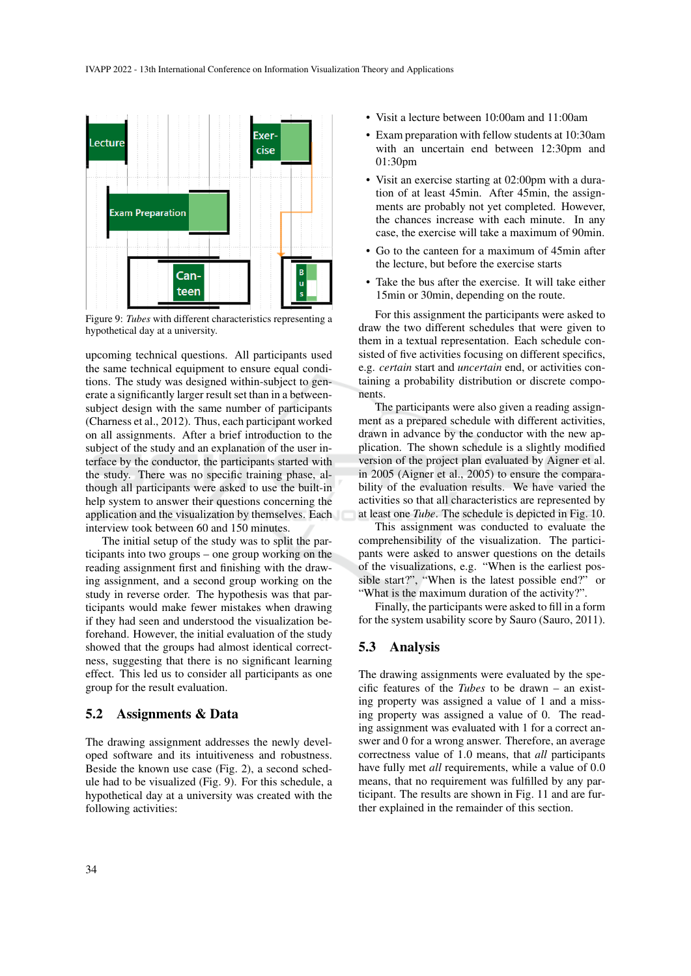

Figure 9: *Tubes* with different characteristics representing a hypothetical day at a university.

upcoming technical questions. All participants used the same technical equipment to ensure equal conditions. The study was designed within-subject to generate a significantly larger result set than in a betweensubject design with the same number of participants (Charness et al., 2012). Thus, each participant worked on all assignments. After a brief introduction to the subject of the study and an explanation of the user interface by the conductor, the participants started with the study. There was no specific training phase, although all participants were asked to use the built-in help system to answer their questions concerning the application and the visualization by themselves. Each interview took between 60 and 150 minutes.

The initial setup of the study was to split the participants into two groups – one group working on the reading assignment first and finishing with the drawing assignment, and a second group working on the study in reverse order. The hypothesis was that participants would make fewer mistakes when drawing if they had seen and understood the visualization beforehand. However, the initial evaluation of the study showed that the groups had almost identical correctness, suggesting that there is no significant learning effect. This led us to consider all participants as one group for the result evaluation.

#### 5.2 Assignments & Data

The drawing assignment addresses the newly developed software and its intuitiveness and robustness. Beside the known use case (Fig. 2), a second schedule had to be visualized (Fig. 9). For this schedule, a hypothetical day at a university was created with the following activities:

- Visit a lecture between 10:00am and 11:00am
- Exam preparation with fellow students at 10:30am with an uncertain end between 12:30pm and 01:30pm
- Visit an exercise starting at 02:00pm with a duration of at least 45min. After 45min, the assignments are probably not yet completed. However, the chances increase with each minute. In any case, the exercise will take a maximum of 90min.
- Go to the canteen for a maximum of 45min after the lecture, but before the exercise starts
- Take the bus after the exercise. It will take either 15min or 30min, depending on the route.

For this assignment the participants were asked to draw the two different schedules that were given to them in a textual representation. Each schedule consisted of five activities focusing on different specifics, e.g. *certain* start and *uncertain* end, or activities containing a probability distribution or discrete components.

The participants were also given a reading assignment as a prepared schedule with different activities, drawn in advance by the conductor with the new application. The shown schedule is a slightly modified version of the project plan evaluated by Aigner et al. in 2005 (Aigner et al., 2005) to ensure the comparability of the evaluation results. We have varied the activities so that all characteristics are represented by at least one *Tube*. The schedule is depicted in Fig. 10.

This assignment was conducted to evaluate the comprehensibility of the visualization. The participants were asked to answer questions on the details of the visualizations, e.g. "When is the earliest possible start?", "When is the latest possible end?" or "What is the maximum duration of the activity?".

Finally, the participants were asked to fill in a form for the system usability score by Sauro (Sauro, 2011).

### 5.3 Analysis

The drawing assignments were evaluated by the specific features of the *Tubes* to be drawn – an existing property was assigned a value of 1 and a missing property was assigned a value of 0. The reading assignment was evaluated with 1 for a correct answer and 0 for a wrong answer. Therefore, an average correctness value of 1.0 means, that *all* participants have fully met *all* requirements, while a value of 0.0 means, that no requirement was fulfilled by any participant. The results are shown in Fig. 11 and are further explained in the remainder of this section.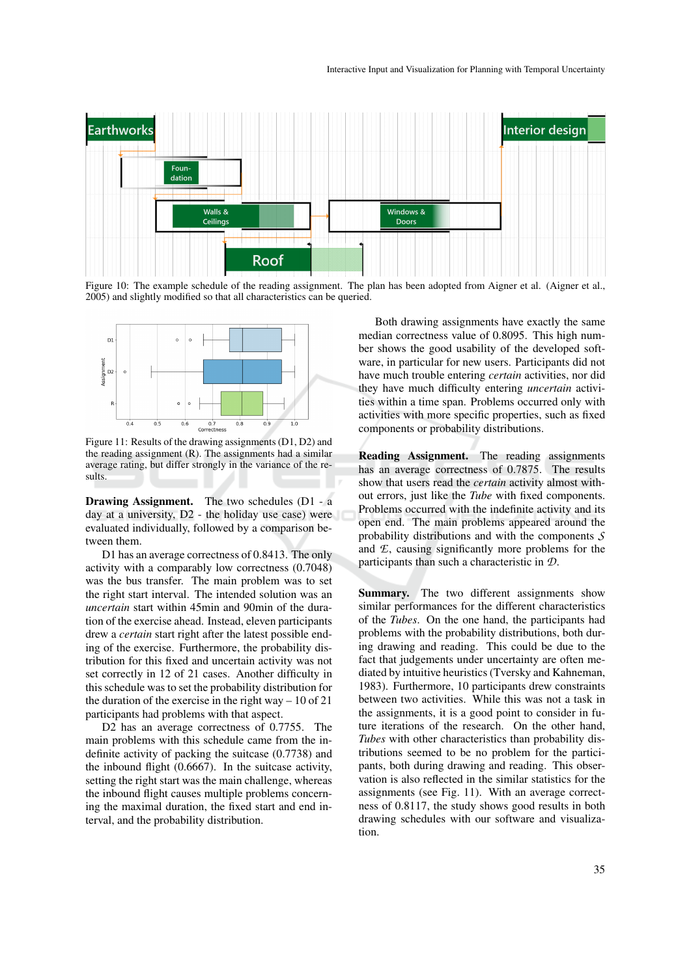

Figure 10: The example schedule of the reading assignment. The plan has been adopted from Aigner et al. (Aigner et al., 2005) and slightly modified so that all characteristics can be queried.



Figure 11: Results of the drawing assignments (D1, D2) and the reading assignment (R). The assignments had a similar average rating, but differ strongly in the variance of the results.

Drawing Assignment. The two schedules (D1 - a day at a university, D2 - the holiday use case) were evaluated individually, followed by a comparison between them.

D1 has an average correctness of 0.8413. The only activity with a comparably low correctness (0.7048) was the bus transfer. The main problem was to set the right start interval. The intended solution was an *uncertain* start within 45min and 90min of the duration of the exercise ahead. Instead, eleven participants drew a *certain* start right after the latest possible ending of the exercise. Furthermore, the probability distribution for this fixed and uncertain activity was not set correctly in 12 of 21 cases. Another difficulty in this schedule was to set the probability distribution for the duration of the exercise in the right way – 10 of 21 participants had problems with that aspect.

D2 has an average correctness of 0.7755. The main problems with this schedule came from the indefinite activity of packing the suitcase (0.7738) and the inbound flight (0.6667). In the suitcase activity, setting the right start was the main challenge, whereas the inbound flight causes multiple problems concerning the maximal duration, the fixed start and end interval, and the probability distribution.

Both drawing assignments have exactly the same median correctness value of 0.8095. This high number shows the good usability of the developed software, in particular for new users. Participants did not have much trouble entering *certain* activities, nor did they have much difficulty entering *uncertain* activities within a time span. Problems occurred only with activities with more specific properties, such as fixed components or probability distributions.

Reading Assignment. The reading assignments has an average correctness of 0.7875. The results show that users read the *certain* activity almost without errors, just like the *Tube* with fixed components. Problems occurred with the indefinite activity and its open end. The main problems appeared around the probability distributions and with the components *S* and *E*, causing significantly more problems for the participants than such a characteristic in *D*.

Summary. The two different assignments show similar performances for the different characteristics of the *Tubes*. On the one hand, the participants had problems with the probability distributions, both during drawing and reading. This could be due to the fact that judgements under uncertainty are often mediated by intuitive heuristics (Tversky and Kahneman, 1983). Furthermore, 10 participants drew constraints between two activities. While this was not a task in the assignments, it is a good point to consider in future iterations of the research. On the other hand, *Tubes* with other characteristics than probability distributions seemed to be no problem for the participants, both during drawing and reading. This observation is also reflected in the similar statistics for the assignments (see Fig. 11). With an average correctness of 0.8117, the study shows good results in both drawing schedules with our software and visualization.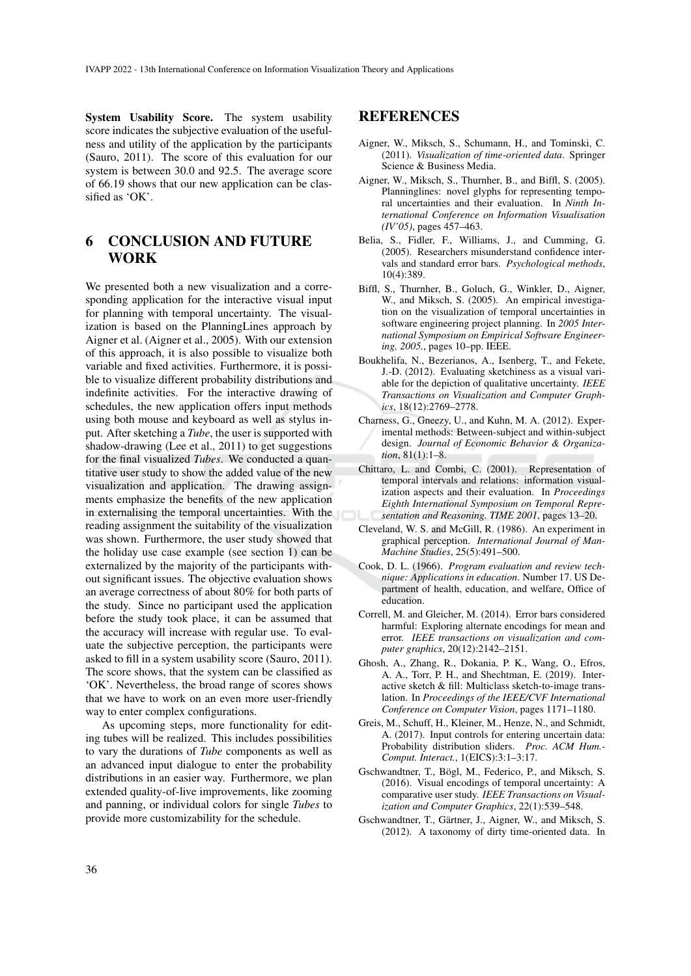System Usability Score. The system usability score indicates the subjective evaluation of the usefulness and utility of the application by the participants (Sauro, 2011). The score of this evaluation for our system is between 30.0 and 92.5. The average score of 66.19 shows that our new application can be classified as 'OK'.

# 6 CONCLUSION AND FUTURE WORK

We presented both a new visualization and a corresponding application for the interactive visual input for planning with temporal uncertainty. The visualization is based on the PlanningLines approach by Aigner et al. (Aigner et al., 2005). With our extension of this approach, it is also possible to visualize both variable and fixed activities. Furthermore, it is possible to visualize different probability distributions and indefinite activities. For the interactive drawing of schedules, the new application offers input methods using both mouse and keyboard as well as stylus input. After sketching a *Tube*, the user is supported with shadow-drawing (Lee et al., 2011) to get suggestions for the final visualized *Tubes*. We conducted a quantitative user study to show the added value of the new visualization and application. The drawing assignments emphasize the benefits of the new application in externalising the temporal uncertainties. With the reading assignment the suitability of the visualization was shown. Furthermore, the user study showed that the holiday use case example (see section 1) can be externalized by the majority of the participants without significant issues. The objective evaluation shows an average correctness of about 80% for both parts of the study. Since no participant used the application before the study took place, it can be assumed that the accuracy will increase with regular use. To evaluate the subjective perception, the participants were asked to fill in a system usability score (Sauro, 2011). The score shows, that the system can be classified as 'OK'. Nevertheless, the broad range of scores shows that we have to work on an even more user-friendly way to enter complex configurations.

As upcoming steps, more functionality for editing tubes will be realized. This includes possibilities to vary the durations of *Tube* components as well as an advanced input dialogue to enter the probability distributions in an easier way. Furthermore, we plan extended quality-of-live improvements, like zooming and panning, or individual colors for single *Tubes* to provide more customizability for the schedule.

### REFERENCES

- Aigner, W., Miksch, S., Schumann, H., and Tominski, C. (2011). *Visualization of time-oriented data*. Springer Science & Business Media.
- Aigner, W., Miksch, S., Thurnher, B., and Biffl, S. (2005). Planninglines: novel glyphs for representing temporal uncertainties and their evaluation. In *Ninth International Conference on Information Visualisation (IV'05)*, pages 457–463.
- Belia, S., Fidler, F., Williams, J., and Cumming, G. (2005). Researchers misunderstand confidence intervals and standard error bars. *Psychological methods*, 10(4):389.
- Biffl, S., Thurnher, B., Goluch, G., Winkler, D., Aigner, W., and Miksch, S. (2005). An empirical investigation on the visualization of temporal uncertainties in software engineering project planning. In *2005 International Symposium on Empirical Software Engineering, 2005.*, pages 10–pp. IEEE.
- Boukhelifa, N., Bezerianos, A., Isenberg, T., and Fekete, J.-D. (2012). Evaluating sketchiness as a visual variable for the depiction of qualitative uncertainty. *IEEE Transactions on Visualization and Computer Graphics*, 18(12):2769–2778.
- Charness, G., Gneezy, U., and Kuhn, M. A. (2012). Experimental methods: Between-subject and within-subject design. *Journal of Economic Behavior & Organization*, 81(1):1–8.
- Chittaro, L. and Combi, C. (2001). Representation of temporal intervals and relations: information visualization aspects and their evaluation. In *Proceedings Eighth International Symposium on Temporal Representation and Reasoning. TIME 2001*, pages 13–20.
- Cleveland, W. S. and McGill, R. (1986). An experiment in graphical perception. *International Journal of Man-Machine Studies*, 25(5):491–500.
- Cook, D. L. (1966). *Program evaluation and review technique: Applications in education*. Number 17. US Department of health, education, and welfare, Office of education.
- Correll, M. and Gleicher, M. (2014). Error bars considered harmful: Exploring alternate encodings for mean and error. *IEEE transactions on visualization and computer graphics*, 20(12):2142–2151.
- Ghosh, A., Zhang, R., Dokania, P. K., Wang, O., Efros, A. A., Torr, P. H., and Shechtman, E. (2019). Interactive sketch & fill: Multiclass sketch-to-image translation. In *Proceedings of the IEEE/CVF International Conference on Computer Vision*, pages 1171–1180.
- Greis, M., Schuff, H., Kleiner, M., Henze, N., and Schmidt, A. (2017). Input controls for entering uncertain data: Probability distribution sliders. *Proc. ACM Hum.- Comput. Interact.*, 1(EICS):3:1–3:17.
- Gschwandtner, T., Bögl, M., Federico, P., and Miksch, S. (2016). Visual encodings of temporal uncertainty: A comparative user study. *IEEE Transactions on Visualization and Computer Graphics*, 22(1):539–548.
- Gschwandtner, T., Gärtner, J., Aigner, W., and Miksch, S. (2012). A taxonomy of dirty time-oriented data. In